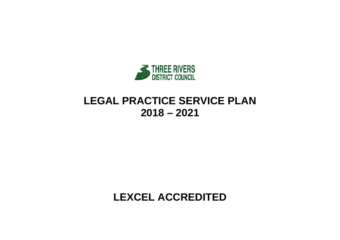

# **LEGAL PRACTICE SERVICE PLAN 2018 – 2021**

**LEXCEL ACCREDITED**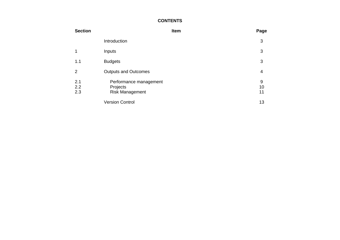### **CONTENTS**

| <b>Section</b>    |                                                              | Item | Page          |
|-------------------|--------------------------------------------------------------|------|---------------|
|                   | Introduction                                                 |      | 3             |
|                   | Inputs                                                       |      | 3             |
| 1.1               | <b>Budgets</b>                                               |      | 3             |
| 2                 | <b>Outputs and Outcomes</b>                                  |      | 4             |
| 2.1<br>2.2<br>2.3 | Performance management<br>Projects<br><b>Risk Management</b> |      | 9<br>10<br>11 |
|                   | <b>Version Control</b>                                       |      | 13            |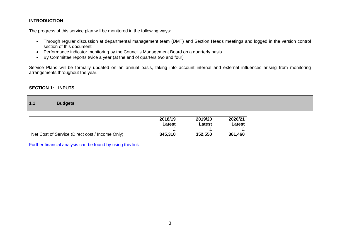### **INTRODUCTION**

The progress of this service plan will be monitored in the following ways:

- Through regular discussion at departmental management team (DMT) and Section Heads meetings and logged in the version control section of this document
- Performance indicator monitoring by the Council's Management Board on a quarterly basis
- By Committee reports twice a year (at the end of quarters two and four)

Service Plans will be formally updated on an annual basis, taking into account internal and external influences arising from monitoring arrangements throughout the year.

#### **SECTION 1: INPUTS**

| 1.1 | <b>Budgets</b> |
|-----|----------------|
|     |                |

|                                                 | 2018/19<br>Latest | 2019/20<br>Latest | 2020/21<br>Latest |
|-------------------------------------------------|-------------------|-------------------|-------------------|
|                                                 |                   |                   |                   |
| Net Cost of Service (Direct cost / Income Only) | 345,310           | 352,550           | 361,460           |

[Further financial analysis can be found by using this link](http://www.threerivers.gov.uk/egcl-page/budgets-2018-21)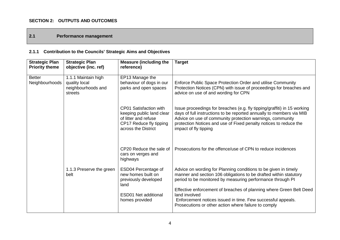### **SECTION 2: OUTPUTS AND OUTCOMES**

### **2.1 Performance management**

# **2.1.1 Contribution to the Councils' Strategic Aims and Objectives**

| <b>Strategic Plan</b><br><b>Priority theme</b> | <b>Strategic Plan</b><br>objective (inc. ref)                         | <b>Measure (including the</b><br>reference)                                                                                   | <b>Target</b>                                                                                                                                                                                                                                                                                               |
|------------------------------------------------|-----------------------------------------------------------------------|-------------------------------------------------------------------------------------------------------------------------------|-------------------------------------------------------------------------------------------------------------------------------------------------------------------------------------------------------------------------------------------------------------------------------------------------------------|
| <b>Better</b><br>Neighbourhoods                | 1.1.1 Maintain high<br>quality local<br>neighbourhoods and<br>streets | EP13 Manage the<br>behaviour of dogs in our<br>parks and open spaces                                                          | Enforce Public Space Protection Order and utilise Community<br>Protection Notices (CPN) with issue of proceedings for breaches and<br>advice on use of and wording for CPN                                                                                                                                  |
|                                                |                                                                       | CP01 Satisfaction with<br>keeping public land clear<br>of litter and refuse<br>CP17 Reduce fly tipping<br>across the District | Issue proceedings for breaches (e.g. fly tipping/graffiti) in 15 working<br>days of full instructions to be reported annually to members via MIB<br>Advice on use of community protection warnings, community<br>protection Notices and use of Fixed penalty notices to reduce the<br>impact of fly tipping |
|                                                |                                                                       | CP20 Reduce the sale of<br>cars on verges and<br>highways                                                                     | Prosecutions for the offence/use of CPN to reduce incidences                                                                                                                                                                                                                                                |
|                                                | 1.1.3 Preserve the green<br>belt                                      | ESD04 Percentage of<br>new homes built on<br>previously developed<br>land                                                     | Advice on wording for Planning conditions to be given in timely<br>manner and section 106 obligations to be drafted within statutory<br>period to be monitored by measuring performance through PI                                                                                                          |
|                                                |                                                                       | <b>ESD01 Net additional</b><br>homes provided                                                                                 | Effective enforcement of breaches of planning where Green Belt Deed<br>land involved<br>Enforcement notices issued in time. Few successful appeals.<br>Prosecutions or other action where failure to comply                                                                                                 |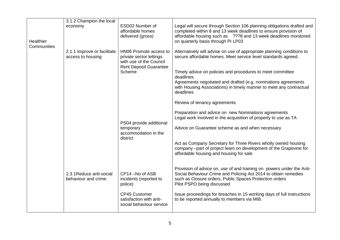|             | 3.1.2 Champion the local    |                                                    |                                                                                                                                         |
|-------------|-----------------------------|----------------------------------------------------|-----------------------------------------------------------------------------------------------------------------------------------------|
|             | economy                     | ESD02 Number of                                    | Legal will secure through Section 106 planning obligations drafted and                                                                  |
|             |                             | affordable homes<br>delivered (gross)              | completed within 8 and 13 week deadlines to ensure provision of<br>affordable housing such as ???8 and 13 week deadlines monitored      |
| Healthier   |                             |                                                    | on quarterly basis through PI LP03                                                                                                      |
| Communities |                             |                                                    |                                                                                                                                         |
|             | 2.1.1 Improve or facilitate | HN06 Promote access to                             | Alternatively will advise on use of appropriate planning conditions to<br>secure affordable homes. Meet service level standards agreed. |
|             | access to housing           | private sector lettings<br>with use of the Council |                                                                                                                                         |
|             |                             | <b>Rent Deposit Guarantee</b>                      |                                                                                                                                         |
|             |                             | Scheme                                             | Timely advice on policies and procedures to meet committee<br>deadlines                                                                 |
|             |                             |                                                    | Agreements negotiated and drafted (e.g. nominations agreements                                                                          |
|             |                             |                                                    | with Housing Associations) in timely manner to meet any contractual                                                                     |
|             |                             |                                                    | deadlines                                                                                                                               |
|             |                             |                                                    | Review of tenancy agreements                                                                                                            |
|             |                             |                                                    | Preparation and advice on new Nominations agreements                                                                                    |
|             |                             |                                                    | Legal work involved in the acquisition of property to use as TA                                                                         |
|             |                             | PS04 provide additional<br>temporary               | Advice on Guarantee scheme as and when necessary                                                                                        |
|             |                             | accommodation in the                               |                                                                                                                                         |
|             |                             | district                                           |                                                                                                                                         |
|             |                             |                                                    | Act as Company Secretary for Three Rivers wholly owned housing<br>company -part of project team on development of the Grapevine for     |
|             |                             |                                                    | affordable housing and housing for sale                                                                                                 |
|             |                             |                                                    |                                                                                                                                         |
|             |                             |                                                    | Provision of advice on, use of and training on powers under the Anti-                                                                   |
|             | 2.3.1 Reduce anti-social    | CP14-No of ASB                                     | Social Behaviour Crime and Policing Act 2014 to obtain remedies                                                                         |
|             | behaviour and crime         | incidents (reported to<br>police)                  | such as Closure orders, Public Spaces Protection orders<br>Pilot PSPO being discussed                                                   |
|             |                             |                                                    |                                                                                                                                         |
|             |                             | <b>CP45 Customer</b><br>satisfaction with anti-    | Issue proceedings for breaches in 15 working days of full instructions                                                                  |
|             |                             | social behaviour service                           | to be reported annually to members via MIB.                                                                                             |
|             |                             |                                                    |                                                                                                                                         |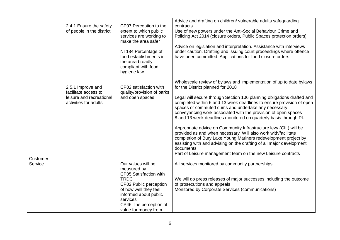|                     | 2.4.1 Ensure the safety<br>of people in the district<br>2.5.1 Improve and<br>facilitate access to<br>leisure and recreational | CP07 Perception to the<br>extent to which public<br>services are working to<br>make the area safer<br>NI 184 Percentage of<br>food establishments in<br>the area broadly<br>compliant with food<br>hygiene law<br>CP02 satisfaction with<br>quality/provision of parks<br>and open spaces | Advice and drafting on children/ vulnerable adults safeguarding<br>contracts.<br>Use of new powers under the Anti-Social Behaviour Crime and<br>Policing Act 2014 (closure orders, Public Spaces protection orders)<br>Advice on legislation and interpretation. Assistance with interviews<br>under caution. Drafting and issuing court proceedings where offence<br>have been committed. Applications for food closure orders.<br>Wholescale review of bylaws and implementation of up to date bylaws<br>for the District planned for 2018<br>Legal will secure through Section 106 planning obligations drafted and          |
|---------------------|-------------------------------------------------------------------------------------------------------------------------------|-------------------------------------------------------------------------------------------------------------------------------------------------------------------------------------------------------------------------------------------------------------------------------------------|---------------------------------------------------------------------------------------------------------------------------------------------------------------------------------------------------------------------------------------------------------------------------------------------------------------------------------------------------------------------------------------------------------------------------------------------------------------------------------------------------------------------------------------------------------------------------------------------------------------------------------|
|                     | activities for adults                                                                                                         |                                                                                                                                                                                                                                                                                           | completed within 6 and 13 week deadlines to ensure provision of open<br>spaces or commuted sums and undertake any necessary<br>conveyancing work associated with the provision of open spaces<br>8 and 13 week deadlines monitored on quarterly basis through PI.<br>Appropriate advice on Community Infrastructure levy (CIL) will be<br>provided as and when necessary Will also work with/facilitate<br>completion of Bury Lake Young Mariners redevelopment project by<br>assisting with and advising on the drafting of all major development<br>documents<br>Part of Leisure management team on the new Leisure contracts |
| Customer<br>Service |                                                                                                                               | Our values will be<br>measured by<br>CP05 Satisfaction with<br><b>TRDC</b><br>CP02 Public perception<br>of how well they feel<br>informed about public<br>services<br>CP46 The perception of<br>value for money from                                                                      | All services monitored by community partnerships<br>We will do press releases of major successes including the outcome<br>of prosecutions and appeals<br>Monitored by Corporate Services (communications)                                                                                                                                                                                                                                                                                                                                                                                                                       |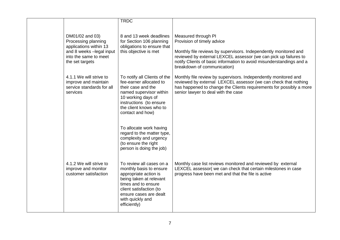|                                                                                                                                          | <b>TRDC</b>                                                                                                                                                                                                             |                                                                                                                                                                                                                                                                                                  |
|------------------------------------------------------------------------------------------------------------------------------------------|-------------------------------------------------------------------------------------------------------------------------------------------------------------------------------------------------------------------------|--------------------------------------------------------------------------------------------------------------------------------------------------------------------------------------------------------------------------------------------------------------------------------------------------|
| DM01/02 and 03)<br>Processing planning<br>applications within 13<br>and 8 weeks -legal input<br>into the same to meet<br>the set targets | 8 and 13 week deadlines<br>for Section 106 planning<br>obligations to ensure that<br>this objective is met                                                                                                              | Measured through PI<br>Provision of timely advice<br>Monthly file reviews by supervisors. Independently monitored and<br>reviewed by external LEXCEL assessor (we can pick up failures to<br>notify Clients of basic information to avoid misunderstandings and a<br>breakdown of communication) |
| 4.1.1 We will strive to<br>improve and maintain<br>service standards for all<br>services                                                 | To notify all Clients of the<br>fee-earner allocated to<br>their case and the<br>named supervisor within<br>10 working days of<br>instructions (to ensure<br>the client knows who to<br>contact and how)                | Monthly file review by supervisors. Independently monitored and<br>reviewed by external LEXCEL assessor (we can check that nothing<br>has happened to change the Clients requirements for possibly a more<br>senior lawyer to deal with the case                                                 |
|                                                                                                                                          | To allocate work having<br>regard to the matter type,<br>complexity and urgency<br>(to ensure the right<br>person is doing the job)                                                                                     |                                                                                                                                                                                                                                                                                                  |
| 4.1.2 We will strive to<br>improve and monitor<br>customer satisfaction                                                                  | To review all cases on a<br>monthly basis to ensure<br>appropriate action is<br>being taken at relevant<br>times and to ensure<br>client satisfaction (to<br>ensure cases are dealt<br>with quickly and<br>efficiently) | Monthly case list reviews monitored and reviewed by external<br>LEXCEL assessor( we can check that certain milestones in case<br>progress have been met and that the file is active                                                                                                              |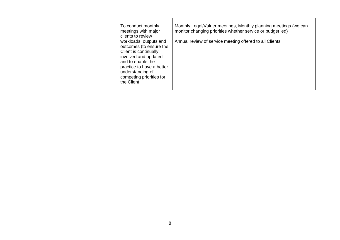|  |  | To conduct monthly<br>meetings with major<br>clients to review<br>workloads, outputs and<br>outcomes (to ensure the<br>Client is continually<br>involved and updated<br>and to enable the<br>practice to have a better<br>understanding of<br>competing priorities for<br>the Client | Monthly Legal/Valuer meetings, Monthly planning meetings (we can<br>monitor changing priorities whether service or budget led)<br>Annual review of service meeting offered to all Clients |
|--|--|--------------------------------------------------------------------------------------------------------------------------------------------------------------------------------------------------------------------------------------------------------------------------------------|-------------------------------------------------------------------------------------------------------------------------------------------------------------------------------------------|
|--|--|--------------------------------------------------------------------------------------------------------------------------------------------------------------------------------------------------------------------------------------------------------------------------------------|-------------------------------------------------------------------------------------------------------------------------------------------------------------------------------------------|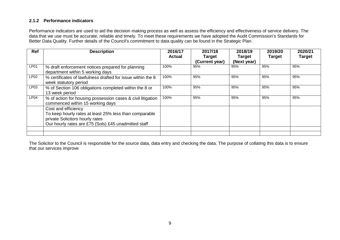### **2.1.2 Performance indicators**

Performance indicators are used to aid the decision making process as well as assess the efficiency and effectiveness of service delivery. The data that we use must be accurate, reliable and timely. To meet these requirements we have adopted the Audit Commission's Standards for Better Data Quality. Further details of the Council's commitment to data quality can be found in the Strategic Plan.

| <b>Ref</b>       | <b>Description</b>                                                                                                                                                       | 2016/17<br><b>Actual</b> | 2017/18<br><b>Target</b> | 2018/19<br><b>Target</b> | 2019/20<br><b>Target</b> | 2020/21<br><b>Target</b> |
|------------------|--------------------------------------------------------------------------------------------------------------------------------------------------------------------------|--------------------------|--------------------------|--------------------------|--------------------------|--------------------------|
|                  |                                                                                                                                                                          |                          | (Current year)           | (Next year)              |                          |                          |
| LP01             | % draft enforcement notices prepared for planning<br>department within 5 working days                                                                                    | 100%                     | 95%                      | 95%                      | 95%                      | 95%                      |
| LP02             | % certificates of lawfulness drafted for issue within the 8<br>week statutory period                                                                                     | 100%                     | 95%                      | 95%                      | 95%                      | 95%                      |
| LP <sub>03</sub> | % of Section 106 obligations completed within the 8 or<br>13 week period                                                                                                 | 100%                     | 95%                      | 95%                      | 95%                      | 95%                      |
| LPO4             | % of action for housing possession cases & civil litigation<br>commenced within 15 working days                                                                          | 100%                     | 95%                      | 95%                      | 95%                      | 95%                      |
|                  | Cost and efficiency<br>To keep hourly rates at least 25% less than comparable<br>private Solicitors hourly rates<br>Our hourly rates are £75 (Sols) £45 unadmitted staff |                          |                          |                          |                          |                          |
|                  |                                                                                                                                                                          |                          |                          |                          |                          |                          |

The Solicitor to the Council is responsible for the source data, data entry and checking the data. The purpose of collating this data is to ensure that our services improve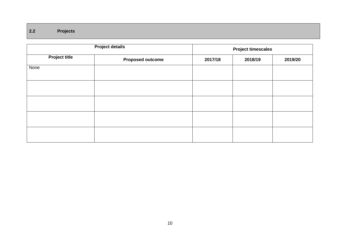## **2.2 Projects**

|                      | <b>Project details</b>  | <b>Project timescales</b> |         |         |  |
|----------------------|-------------------------|---------------------------|---------|---------|--|
| <b>Project title</b> | <b>Proposed outcome</b> | 2017/18                   | 2018/19 | 2019/20 |  |
| None                 |                         |                           |         |         |  |
|                      |                         |                           |         |         |  |
|                      |                         |                           |         |         |  |
|                      |                         |                           |         |         |  |
|                      |                         |                           |         |         |  |
|                      |                         |                           |         |         |  |
|                      |                         |                           |         |         |  |
|                      |                         |                           |         |         |  |
|                      |                         |                           |         |         |  |
|                      |                         |                           |         |         |  |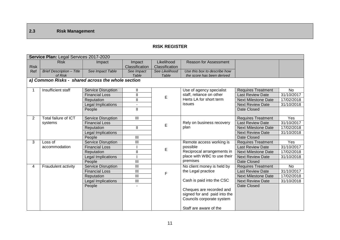## **2.3 Risk Management**

### **RISK REGISTER**

|                | Service Plan: Legal Services 2017-2020            |                           |                         |                |                                                           |                            |            |  |
|----------------|---------------------------------------------------|---------------------------|-------------------------|----------------|-----------------------------------------------------------|----------------------------|------------|--|
|                | <b>Risk</b>                                       | Impact                    | Impact                  | Likelihood     | <b>Reason for Assessment</b>                              |                            |            |  |
| <b>Risk</b>    |                                                   |                           | Classification          | Classification |                                                           |                            |            |  |
| Ref            | <b>Brief Description - Title</b>                  | See Impact Table          | See Impact              | See Likelihood | Use this box to describe how                              |                            |            |  |
|                | of Risk                                           |                           | Table                   | Table          | the score has been derived                                |                            |            |  |
|                | a) Common Risks - shared across the whole section |                           |                         |                |                                                           |                            |            |  |
|                | Insufficient staff                                | Service Disruption        | Ш                       |                | Use of agency specialist                                  | <b>Requires Treatment</b>  | <b>No</b>  |  |
|                |                                                   | <b>Financial Loss</b>     | $\mathbf{I}$            | E              | staff, reliance on other                                  | <b>Last Review Date</b>    | 31/10/2017 |  |
|                |                                                   | Reputation                | $\overline{\mathsf{I}}$ |                | Herts LA for short term                                   | <b>Next Milestone Date</b> | 17/02/2018 |  |
|                |                                                   | Legal Implications        |                         |                | issues                                                    | <b>Next Review Date</b>    | 31/10/2018 |  |
|                |                                                   | People                    | $\mathbf{H}$            |                |                                                           | Date Closed                |            |  |
| $\overline{2}$ | Total failure of ICT                              | Service Disruption        | III                     |                |                                                           | <b>Requires Treatment</b>  | Yes        |  |
|                | systems                                           | <b>Financial Loss</b>     |                         |                | Rely on business recovery                                 | <b>Last Review Date</b>    | 31/10/2017 |  |
|                |                                                   | Reputation                | $\mathbf{I}$            | E              | plan                                                      | <b>Next Milestone Date</b> | 17/02/2018 |  |
|                |                                                   | Legal Implications        |                         |                |                                                           | <b>Next Review Date</b>    | 31/10/2018 |  |
|                |                                                   | People                    | III                     |                |                                                           | Date Closed                |            |  |
| 3              | Loss of                                           | <b>Service Disruption</b> | $\mathbf{III}$          |                | Remote access working is                                  | <b>Requires Treatment</b>  | Yes        |  |
|                | accommodation                                     | <b>Financial Loss</b>     |                         | E              | possible                                                  | <b>Last Review Date</b>    | 31/10/2017 |  |
|                |                                                   | Reputation                | $\mathbf{I}$            |                | Reciprocal arrangements in                                | <b>Next Milestone Date</b> | 17/02/2018 |  |
|                |                                                   | Legal Implications        |                         |                | place with WBC to use their                               | <b>Next Review Date</b>    | 31/10/2018 |  |
|                |                                                   | People                    | $\mathbf{III}$          |                | premises                                                  | Date Closed                |            |  |
| 4              | Fraudulent activity                               | Service Disruption        | III                     |                | No client money is held by                                | <b>Requires Treatment</b>  | <b>No</b>  |  |
|                |                                                   | <b>Financial Loss</b>     | $\mathbf{III}$          | F              | the Legal practice                                        | <b>Last Review Date</b>    | 31/10/2017 |  |
|                |                                                   | Reputation                | $\mathbf{III}$          |                |                                                           | <b>Next Milestone Date</b> | 17/02/2018 |  |
|                |                                                   | <b>Legal Implications</b> | $\mathbf{III}$          |                | Cash is paid into the CSC                                 | <b>Next Review Date</b>    | 31/10/2018 |  |
|                |                                                   | People                    |                         |                |                                                           | Date Closed                |            |  |
|                |                                                   |                           |                         |                | Cheques are recorded and                                  |                            |            |  |
|                |                                                   |                           |                         |                | signed for and paid into the<br>Councils corporate system |                            |            |  |
|                |                                                   |                           |                         |                |                                                           |                            |            |  |
|                |                                                   |                           |                         |                | Staff are aware of the                                    |                            |            |  |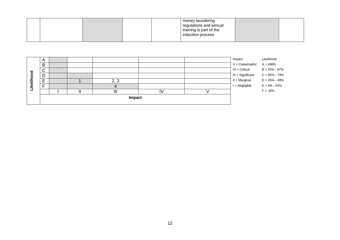|  |  | money laundering<br>regulations and annual<br>training is part of the<br>induction process |  |
|--|--|--------------------------------------------------------------------------------------------|--|
|  |  |                                                                                            |  |

| Likelihood<br>Impact                   |
|----------------------------------------|
| $V =$ Catastrophic<br>$A = 298%$       |
| $IV = Critical$<br>$B = 75\% - 97\%$   |
| $C = 50\% - 74\%$<br>III = Significant |
| $D = 25\% - 49\%$<br>$II = Marginal$   |
| $I = Negligible$<br>$E = 3\% - 24\%$   |
| $F = \leq 2\%$                         |
|                                        |
|                                        |